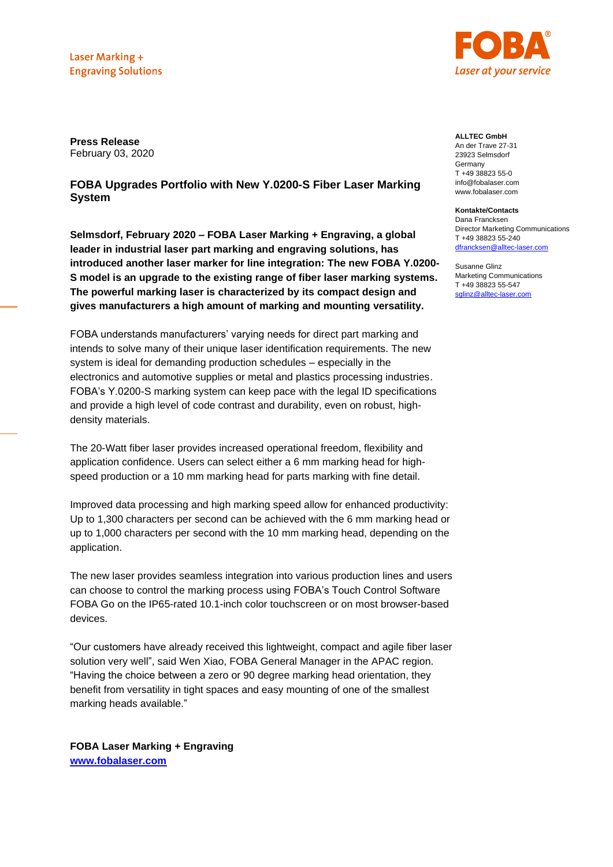Laser Marking + **Engraving Solutions** 



**Press Release** February 03, 2020

# **FOBA Upgrades Portfolio with New Y.0200-S Fiber Laser Marking System**

**Selmsdorf, February 2020 – FOBA Laser Marking + Engraving, a global leader in industrial laser part marking and engraving solutions, has introduced another laser marker for line integration: The new FOBA Y.0200- S model is an upgrade to the existing range of fiber laser marking systems. The powerful marking laser is characterized by its compact design and gives manufacturers a high amount of marking and mounting versatility.**

FOBA understands manufacturers' varying needs for direct part marking and intends to solve many of their unique laser identification requirements. The new system is ideal for demanding production schedules – especially in the electronics and automotive supplies or metal and plastics processing industries. FOBA's Y.0200-S marking system can keep pace with the legal ID specifications and provide a high level of code contrast and durability, even on robust, highdensity materials.

The 20-Watt fiber laser provides increased operational freedom, flexibility and application confidence. Users can select either a 6 mm marking head for highspeed production or a 10 mm marking head for parts marking with fine detail.

Improved data processing and high marking speed allow for enhanced productivity: Up to 1,300 characters per second can be achieved with the 6 mm marking head or up to 1,000 characters per second with the 10 mm marking head, depending on the application.

The new laser provides seamless integration into various production lines and users can choose to control the marking process using FOBA's Touch Control Software FOBA Go on the IP65-rated 10.1-inch color touchscreen or on most browser-based devices.

"Our customers have already received this lightweight, compact and agile fiber laser solution very well", said Wen Xiao, FOBA General Manager in the APAC region. "Having the choice between a zero or 90 degree marking head orientation, they benefit from versatility in tight spaces and easy mounting of one of the smallest marking heads available."

**FOBA Laser Marking + Engraving [www.fobalaser.com](http://www.fobalaser.com/)**

**ALLTEC GmbH**

An der Trave 27-31 23923 Selmsdorf **Germany** T +49 38823 55-0 info@fobalaser.com www.fobalaser.com

#### **Kontakte/Contacts**

Dana Francksen Director Marketing Communications T +49 38823 55-240 [dfrancksen@alltec-laser.com](mailto:dfrancksen@alltec-laser.com)

Susanne Glinz Marketing Communications T +49 38823 55-547 [sglinz@alltec-laser.com](mailto:susanne.glinz@alltec-laser.com)